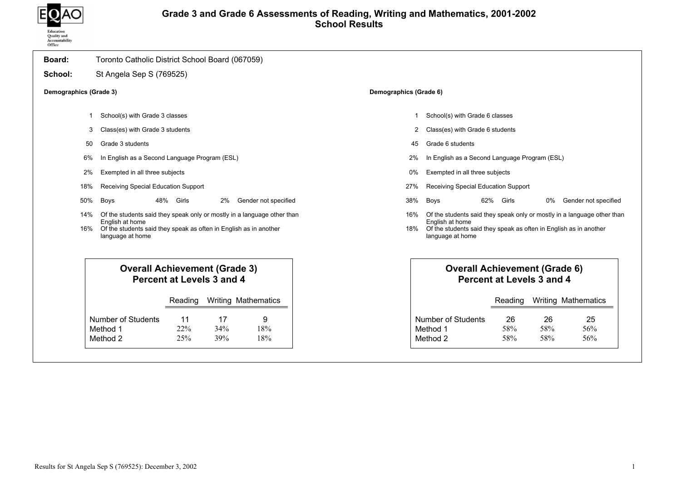

## Grade 3 and Grade 6 Assessments of Reading, Writing and Mathematics, 2001-2002 School Results

| Board:                 | Toronto Catholic District School Board (067059)                                                                                                                                     |                        |                                                                                                                                                                                     |
|------------------------|-------------------------------------------------------------------------------------------------------------------------------------------------------------------------------------|------------------------|-------------------------------------------------------------------------------------------------------------------------------------------------------------------------------------|
| School:                | St Angela Sep S (769525)                                                                                                                                                            |                        |                                                                                                                                                                                     |
| Demographics (Grade 3) |                                                                                                                                                                                     | Demographics (Grade 6) |                                                                                                                                                                                     |
| -1                     | School(s) with Grade 3 classes                                                                                                                                                      | 1                      | School(s) with Grade 6 classes                                                                                                                                                      |
| 3                      | Class(es) with Grade 3 students                                                                                                                                                     | 2                      | Class(es) with Grade 6 students                                                                                                                                                     |
| 50                     | Grade 3 students                                                                                                                                                                    | 45                     | Grade 6 students                                                                                                                                                                    |
| 6%                     | In English as a Second Language Program (ESL)                                                                                                                                       | 2%                     | In English as a Second Language Program (ESL)                                                                                                                                       |
| 2%                     | Exempted in all three subjects                                                                                                                                                      | 0%                     | Exempted in all three subjects                                                                                                                                                      |
| 18%                    | Receiving Special Education Support                                                                                                                                                 | 27%                    | Receiving Special Education Support                                                                                                                                                 |
| 50%                    | 48% Girls<br>Boys<br>2%<br>Gender not specified                                                                                                                                     | 38%                    | 62% Girls<br>Boys<br>Gender not specified<br>0%                                                                                                                                     |
| 14%<br>16%             | Of the students said they speak only or mostly in a language other than<br>English at home<br>Of the students said they speak as often in English as in another<br>language at home | 16%<br>18%             | Of the students said they speak only or mostly in a language other than<br>English at home<br>Of the students said they speak as often in English as in another<br>language at home |
|                        | <b>Overall Achievement (Grade 3)</b><br>Percent at Levels 3 and 4                                                                                                                   |                        | <b>Overall Achievement (Grade 6)</b><br>Percent at Levels 3 and 4                                                                                                                   |
|                        | <b>Writing Mathematics</b><br>Reading                                                                                                                                               |                        | <b>Writing Mathematics</b><br>Reading                                                                                                                                               |
|                        | 9<br><b>Number of Students</b><br>17<br>11<br>Method 1<br>18%<br>22%<br>34%<br>Method 2<br>25%<br>18%<br>39%                                                                        |                        | <b>Number of Students</b><br>25<br>26<br>26<br>Method 1<br>58%<br>58%<br>56%<br>Method 2<br>58%<br>58%<br>56%                                                                       |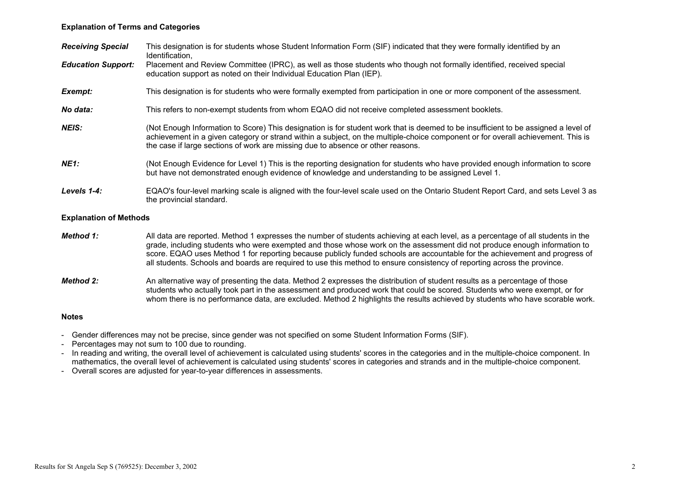## Explanation of Terms and Categories

| <b>Receiving Special</b>      | This designation is for students whose Student Information Form (SIF) indicated that they were formally identified by an<br>Identification,                                                                                                                                                                                                                                                                                                                                                                             |
|-------------------------------|-------------------------------------------------------------------------------------------------------------------------------------------------------------------------------------------------------------------------------------------------------------------------------------------------------------------------------------------------------------------------------------------------------------------------------------------------------------------------------------------------------------------------|
| <b>Education Support:</b>     | Placement and Review Committee (IPRC), as well as those students who though not formally identified, received special<br>education support as noted on their Individual Education Plan (IEP).                                                                                                                                                                                                                                                                                                                           |
| Exempt:                       | This designation is for students who were formally exempted from participation in one or more component of the assessment.                                                                                                                                                                                                                                                                                                                                                                                              |
| No data:                      | This refers to non-exempt students from whom EQAO did not receive completed assessment booklets.                                                                                                                                                                                                                                                                                                                                                                                                                        |
| <b>NEIS:</b>                  | (Not Enough Information to Score) This designation is for student work that is deemed to be insufficient to be assigned a level of<br>achievement in a given category or strand within a subject, on the multiple-choice component or for overall achievement. This is<br>the case if large sections of work are missing due to absence or other reasons.                                                                                                                                                               |
| <b>NE1:</b>                   | (Not Enough Evidence for Level 1) This is the reporting designation for students who have provided enough information to score<br>but have not demonstrated enough evidence of knowledge and understanding to be assigned Level 1.                                                                                                                                                                                                                                                                                      |
| Levels 1-4:                   | EQAO's four-level marking scale is aligned with the four-level scale used on the Ontario Student Report Card, and sets Level 3 as<br>the provincial standard.                                                                                                                                                                                                                                                                                                                                                           |
| <b>Explanation of Methods</b> |                                                                                                                                                                                                                                                                                                                                                                                                                                                                                                                         |
| Method 1:                     | All data are reported. Method 1 expresses the number of students achieving at each level, as a percentage of all students in the<br>grade, including students who were exempted and those whose work on the assessment did not produce enough information to<br>score. EQAO uses Method 1 for reporting because publicly funded schools are accountable for the achievement and progress of<br>all students. Schools and boards are required to use this method to ensure consistency of reporting across the province. |
| <b>Method 2:</b>              | An alternative way of presenting the data. Method 2 expresses the distribution of student results as a percentage of those<br>students who actually took part in the assessment and produced work that could be scored. Students who were exempt, or for<br>whom there is no performance data, are excluded. Method 2 highlights the results achieved by students who have scorable work.                                                                                                                               |

#### Notes

- Gender differences may not be precise, since gender was not specified on some Student Information Forms (SIF).
- Percentages may not sum to 100 due to rounding.
- In reading and writing, the overall level of achievement is calculated using students' scores in the categories and in the multiple-choice component. In mathematics, the overall level of achievement is calculated using students' scores in categories and strands and in the multiple-choice component.
- Overall scores are adjusted for year-to-year differences in assessments.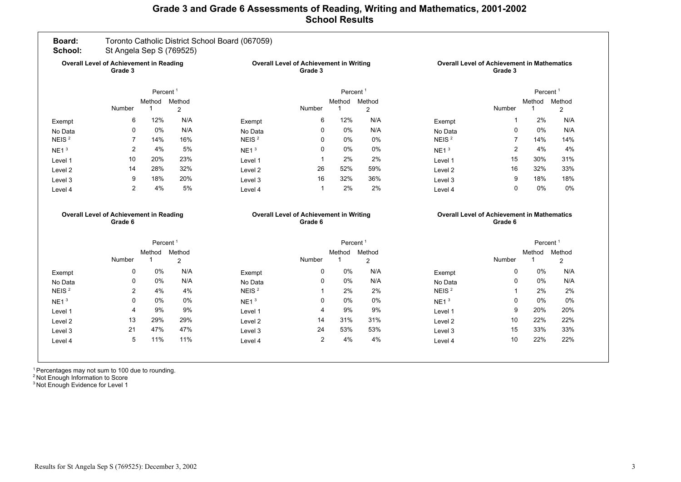# Grade 3 and Grade 6 Assessments of Reading, Writing and Mathematics, 2001-2002 School Results



<sup>1</sup> Percentages may not sum to 100 due to rounding.

<sup>2</sup> Not Enough Information to Score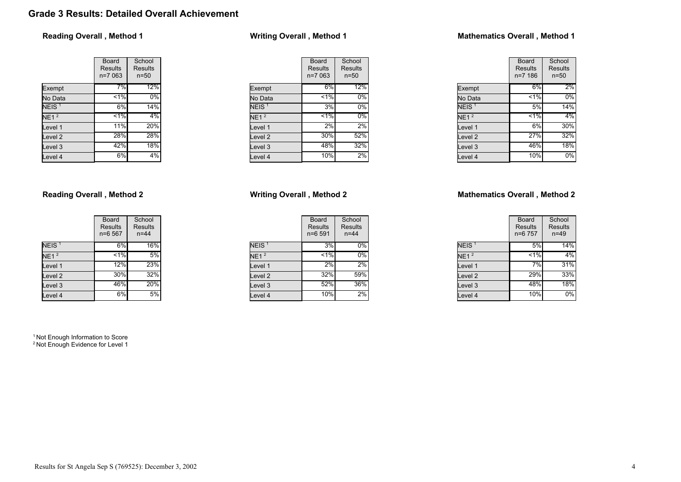# Grade 3 Results: Detailed Overall Achievement

## Reading Overall , Method 1

|                    | Board<br><b>Results</b><br>$n=7063$ | School<br>Results<br>$n = 50$ |  |  |
|--------------------|-------------------------------------|-------------------------------|--|--|
| Exempt             | 7%                                  | 12%                           |  |  |
| No Data            | $\leq 1\%$                          | 0%                            |  |  |
| N EIS <sup>1</sup> | 6%                                  | 14%                           |  |  |
| NE1 <sup>2</sup>   | $1\%$                               | 4%                            |  |  |
| Level 1            | 11%                                 | 20%                           |  |  |
| Level <sub>2</sub> | 28%                                 | 28%                           |  |  |
| Level <sub>3</sub> | 42%                                 | 18%                           |  |  |
| Level 4            | 6%                                  | 4%                            |  |  |

## Reading Overall , Method 2

|                    | Board<br><b>Results</b><br>n=6 567 | School<br>Results<br>$n = 44$ |  |  |
|--------------------|------------------------------------|-------------------------------|--|--|
| NEIS <sup>1</sup>  | 6%                                 | 16%                           |  |  |
| $NE1^2$            | $1\%$                              | 5%                            |  |  |
| Level 1            | 12%                                | 23%                           |  |  |
| Level <sub>2</sub> | 30%                                | 32%                           |  |  |
| Level <sub>3</sub> | 46%                                | 20%                           |  |  |
| Level 4            | 6%                                 | 5%                            |  |  |

<sup>1</sup> Not Enough Information to Score <sup>2</sup> Not Enough Evidence for Level 1

# Writing Overall , Method 1

|                    | Board<br>Results<br>n=7 063 | School<br>Results<br>$n = 50$ |
|--------------------|-----------------------------|-------------------------------|
| Exempt             | 6%                          | 12%                           |
| No Data            | 1%                          | 0%                            |
| NEIS <sup>1</sup>  | 3%                          | 0%                            |
| NE1 <sup>2</sup>   | $1\%$                       | 0%                            |
| Level 1            | 2%                          | 2%                            |
| Level <sub>2</sub> | 30%                         | 52%                           |
| Level 3            | 48%                         | 32%                           |
| Level 4            | 10%                         | 2%                            |

## Writing Overall , Method 2

|                   | Board<br><b>Results</b><br>$n = 6591$ | School<br>Results<br>$n = 44$ |  |  |
|-------------------|---------------------------------------|-------------------------------|--|--|
| NEIS <sup>1</sup> | 3%                                    | $0\%$                         |  |  |
| NE1 <sup>2</sup>  | $1\%$                                 | $0\%$                         |  |  |
| Level 1           | 2%                                    | 2%                            |  |  |
| Level 2           | 32%                                   | 59%                           |  |  |
| Level 3           | 52%                                   | 36%                           |  |  |
| Level 4           | 10%                                   | 2%                            |  |  |

## Mathematics Overall , Method 1

|                   | Board<br>Results<br>$n = 7186$ | School<br><b>Results</b><br>$n=50$ |
|-------------------|--------------------------------|------------------------------------|
| Exempt            | 6%                             | 2%                                 |
| No Data           | 1%                             | 0%                                 |
| NEIS <sup>1</sup> | 5%                             | 14%                                |
| NE1 <sup>2</sup>  | $1\%$                          | 4%                                 |
| Level 1           | 6%                             | 30%                                |
| Level 2           | 27%                            | 32%                                |
| Level 3           | 46%                            | 18%                                |
| Level 4           | 10%                            | 0%                                 |

## Mathematics Overall , Method 2

|                   | <b>Board</b><br><b>Results</b><br>n=6 757 | School<br><b>Results</b><br>$n = 49$ |  |  |
|-------------------|-------------------------------------------|--------------------------------------|--|--|
| NEIS <sup>1</sup> | 5%                                        | 14%                                  |  |  |
| NE1 <sup>2</sup>  | $1\%$                                     | 4%                                   |  |  |
| Level 1           | 7%                                        | 31%                                  |  |  |
| Level 2           | 29%                                       | 33%                                  |  |  |
| Level 3           | 48%                                       | 18%                                  |  |  |
| Level 4           | 10%                                       | 0%                                   |  |  |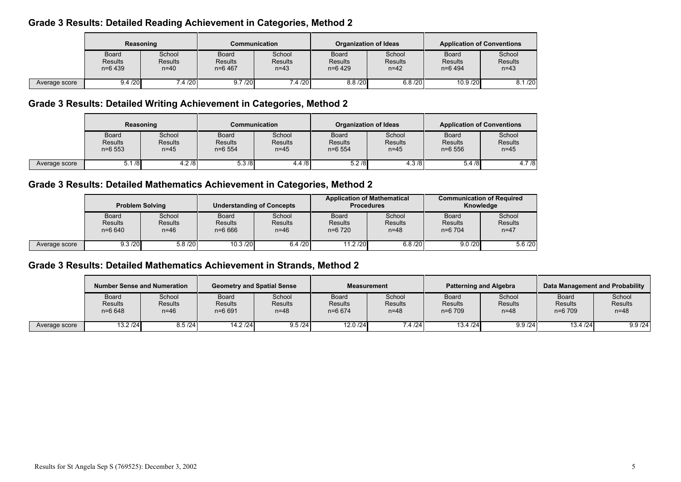# Grade 3 Results: Detailed Reading Achievement in Categories, Method 2

|               | Reasoning                                   |                                  | Communication                        |                               |                                             | <b>Organization of Ideas</b>         | <b>Application of Conventions</b>           |                                    |  |
|---------------|---------------------------------------------|----------------------------------|--------------------------------------|-------------------------------|---------------------------------------------|--------------------------------------|---------------------------------------------|------------------------------------|--|
|               | <b>Board</b><br><b>Results</b><br>$n=6$ 439 | School<br><b>Results</b><br>n=40 | Board<br><b>Results</b><br>$n=6$ 467 | School<br>Results<br>$n = 43$ | <b>Board</b><br><b>Results</b><br>$n=6$ 429 | School<br><b>Results</b><br>$n = 42$ | <b>Board</b><br><b>Results</b><br>$n=6$ 494 | School<br><b>Results</b><br>$n=43$ |  |
| Average score | 9.4 / 20                                    | 7.4/20                           | 9.7 / 20                             | 7.4/20                        | 8.8 / 20                                    | 6.8 / 20                             | 10.9/20                                     | 8.1 / 20                           |  |

# Grade 3 Results: Detailed Writing Achievement in Categories, Method 2

|               | Reasoning                             |                                      | Communication                        |                                      | <b>Organization of Ideas</b>                |                                      | <b>Application of Conventions</b>            |                                      |
|---------------|---------------------------------------|--------------------------------------|--------------------------------------|--------------------------------------|---------------------------------------------|--------------------------------------|----------------------------------------------|--------------------------------------|
|               | Board<br><b>Results</b><br>$n = 6553$ | School<br><b>Results</b><br>$n = 45$ | <b>Board</b><br>Results<br>$n=6$ 554 | School<br><b>Results</b><br>$n = 45$ | <b>Board</b><br><b>Results</b><br>$n=6$ 554 | School<br><b>Results</b><br>$n = 45$ | <b>Board</b><br><b>Results</b><br>$n = 6556$ | School<br><b>Results</b><br>$n = 45$ |
| Average score | /8<br>5.1                             | $\sqrt{4.2/8}$                       | 5.3/8                                | 4.4/8                                | 5.2/8                                       | $\sqrt{4.3}$ /8                      | 5.4/8                                        | 4.7/8                                |

# Grade 3 Results: Detailed Mathematics Achievement in Categories, Method 2

|               | <b>Problem Solving</b>                       |                                  | <b>Understanding of Concepts</b>             |                                      | <b>Procedures</b>                           | <b>Application of Mathematical</b> | <b>Communication of Required</b><br>Knowledge |                                      |
|---------------|----------------------------------------------|----------------------------------|----------------------------------------------|--------------------------------------|---------------------------------------------|------------------------------------|-----------------------------------------------|--------------------------------------|
|               | <b>Board</b><br><b>Results</b><br>$n = 6640$ | School<br><b>Results</b><br>n=46 | <b>Board</b><br><b>Results</b><br>$n = 6666$ | School<br><b>Results</b><br>$n = 46$ | <b>Board</b><br><b>Results</b><br>$n=6$ 720 | School<br><b>Results</b><br>n=48   | <b>Board</b><br><b>Results</b><br>$n=6$ 704   | School<br><b>Results</b><br>$n = 47$ |
| Average score | 9.3 / 20                                     | 5.8/20                           | 10.3 / 20                                    | 6.4 / 20                             | 11.2 / 20                                   | 6.8 / 20                           | 9.0 / 20                                      | 5.6/20                               |

# Grade 3 Results: Detailed Mathematics Achievement in Strands, Method 2

|               | Number Sense and Numeration                  |                             | <b>Geometry and Spatial Sense</b> |                               | <b>Measurement</b>                  |                                      | <b>Patterning and Algebra</b>        |                                      | Data Management and Probability             |                                    |
|---------------|----------------------------------------------|-----------------------------|-----------------------------------|-------------------------------|-------------------------------------|--------------------------------------|--------------------------------------|--------------------------------------|---------------------------------------------|------------------------------------|
|               | <b>Board</b><br><b>Results</b><br>$n = 6648$ | School<br>Results<br>$n=46$ | Board<br>Results<br>$n = 6691$    | School<br>Results<br>$n = 48$ | Board<br><b>Results</b><br>$n=6674$ | School<br><b>Results</b><br>$n = 48$ | Board<br><b>Results</b><br>$n=6$ 709 | School<br><b>Results</b><br>$n = 48$ | <b>Board</b><br><b>Results</b><br>$n=6$ 709 | School<br><b>Results</b><br>$n=48$ |
| Average score | 13.2 / 24                                    | 8.5/24                      | 14.2/24                           | 9.5 / 24                      | 12.0 /24                            | 7.4 / 24                             | 13.4 / 24                            | 9.9 / 24                             | 13.4 / 24                                   | 9.9 / 24                           |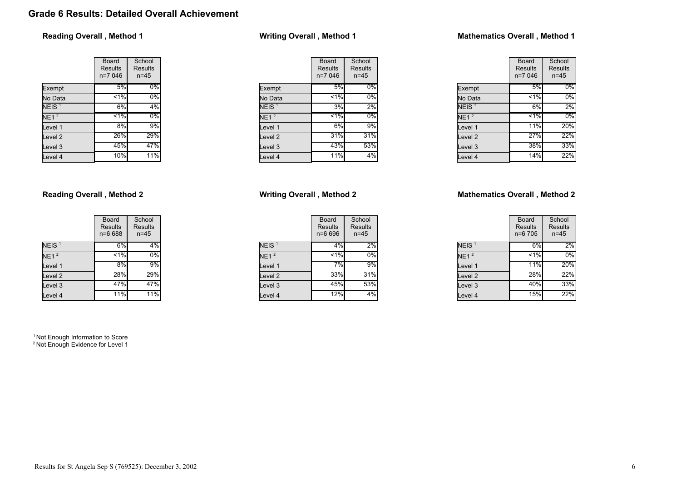# Grade 6 Results: Detailed Overall Achievement

## Reading Overall , Method 1

|                    | Board<br><b>Results</b><br>n=7 046 | School<br><b>Results</b><br>$n = 45$ |
|--------------------|------------------------------------|--------------------------------------|
| Exempt             | 5%                                 | $0\%$                                |
| No Data            | 1%                                 | $0\%$                                |
| NEIS <sup>1</sup>  | 6%                                 | 4%                                   |
| NE1 <sup>2</sup>   | $< 1\%$                            | $0\%$                                |
| Level 1            | 8%                                 | 9%                                   |
| Level <sub>2</sub> | 26%                                | 29%                                  |
| Level <sub>3</sub> | 45%                                | 47%                                  |
| Level 4            | 10%                                | 11%                                  |

## Reading Overall , Method 2

|                    | Board<br><b>Results</b><br>n=6 688 | School<br>Results<br>$n = 45$ |
|--------------------|------------------------------------|-------------------------------|
| NEIS <sup>1</sup>  | 6%                                 | 4%                            |
| NE1 <sup>2</sup>   | $< 1\%$                            | 0%                            |
| Level 1            | 8%                                 | 9%                            |
| Level <sub>2</sub> | 28%                                | 29%                           |
| Level <sub>3</sub> | 47%                                | 47%                           |
| Level 4            | 11%                                | 11%                           |

<sup>1</sup> Not Enough Information to Score <sup>2</sup> Not Enough Evidence for Level 1

## Writing Overall , Method 1

|                    | Board<br><b>Results</b><br>$n=7046$ | School<br>Results<br>$n = 45$ |
|--------------------|-------------------------------------|-------------------------------|
| Exempt             | 5%                                  | $0\%$                         |
| No Data            | 1%                                  | 0%                            |
| NEIS <sup>1</sup>  | 3%                                  | 2%                            |
| NE1 <sup>2</sup>   | 1%                                  | 0%                            |
| Level 1            | 6%                                  | 9%                            |
| Level <sub>2</sub> | 31%                                 | 31%                           |
| Level <sub>3</sub> | 43%                                 | 53%                           |
| Level 4            | 11%                                 | 4%                            |

## Writing Overall , Method 2

|                   | Board<br><b>Results</b><br>n=6 696 | School<br>Results<br>$n = 45$ |
|-------------------|------------------------------------|-------------------------------|
| NEIS <sup>1</sup> | 4%                                 | 2%                            |
| NE1 <sup>2</sup>  | $1\%$                              | 0%                            |
| Level 1           | 7%                                 | 9%                            |
| Level 2           | 33%                                | 31%                           |
| Level 3           | 45%                                | 53%                           |
| Level 4           | 12%                                | 4%                            |

## Mathematics Overall , Method 1

|                   | Board<br>Results<br>$n=7046$ | School<br>Results<br>$n = 45$ |
|-------------------|------------------------------|-------------------------------|
| Exempt            | 5%                           | $0\%$                         |
| No Data           | 1%                           | $0\%$                         |
| NEIS <sup>1</sup> | 6%                           | 2%                            |
| NE1 <sup>2</sup>  | $1\%$                        | $0\%$                         |
| Level 1           | 11%                          | 20%                           |
| Level 2           | 27%                          | 22%                           |
| Level 3           | 38%                          | 33%                           |
| Level 4           | 14%                          | 22%                           |

## Mathematics Overall , Method 2

|                   | Board<br><b>Results</b><br>n=6 705 | School<br><b>Results</b><br>$n = 45$ |
|-------------------|------------------------------------|--------------------------------------|
| NEIS <sup>1</sup> | 6%                                 | 2%                                   |
| NE1 <sup>2</sup>  | $1\%$                              | 0%                                   |
| Level 1           | 11%                                | 20%                                  |
| Level 2           | 28%                                | 22%                                  |
| Level 3           | 40%                                | 33%                                  |
| Level 4           | 15%                                | 22%                                  |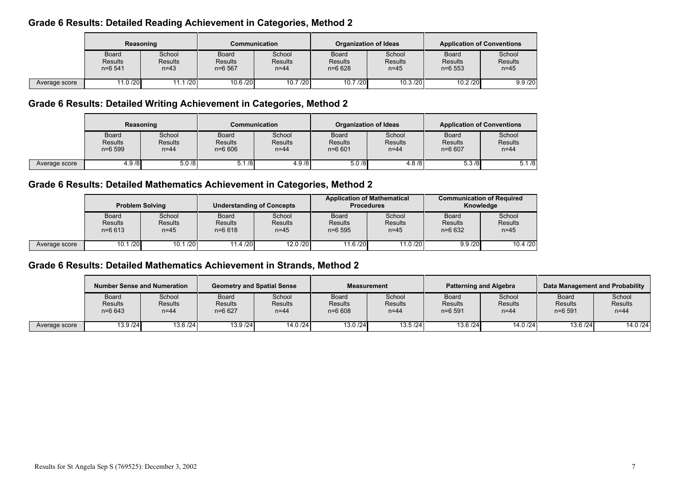# Grade 6 Results: Detailed Reading Achievement in Categories, Method 2

|               | Reasoning                                   |                                      | Communication                               |                                      | <b>Organization of Ideas</b>                 |                                      | <b>Application of Conventions</b>            |                                      |
|---------------|---------------------------------------------|--------------------------------------|---------------------------------------------|--------------------------------------|----------------------------------------------|--------------------------------------|----------------------------------------------|--------------------------------------|
|               | <b>Board</b><br><b>Results</b><br>$n=6$ 541 | School<br><b>Results</b><br>$n = 43$ | <b>Board</b><br><b>Results</b><br>$n=6$ 567 | School<br><b>Results</b><br>$n = 44$ | <b>Board</b><br><b>Results</b><br>$n = 6628$ | School<br><b>Results</b><br>$n = 45$ | <b>Board</b><br><b>Results</b><br>$n = 6553$ | School<br><b>Results</b><br>$n = 45$ |
| Average score | 11.0 /20                                    | .1/20                                | 10.6 / 20                                   | 10.7/20                              | 10.7 / 20                                    | 10.3 / 20                            | 10.2 / 20                                    | 9.9 / 20                             |

# Grade 6 Results: Detailed Writing Achievement in Categories, Method 2

|               | Reasoning                             |                                      | <b>Communication</b>                  |                                      | Organization of Ideas                 |                                      | <b>Application of Conventions</b>            |                                      |
|---------------|---------------------------------------|--------------------------------------|---------------------------------------|--------------------------------------|---------------------------------------|--------------------------------------|----------------------------------------------|--------------------------------------|
|               | Board<br><b>Results</b><br>$n = 6599$ | School<br><b>Results</b><br>$n = 44$ | <b>Board</b><br>Results<br>$n = 6606$ | School<br><b>Results</b><br>$n = 44$ | Board<br><b>Results</b><br>$n = 6601$ | School<br><b>Results</b><br>$n = 44$ | <b>Board</b><br><b>Results</b><br>$n = 6607$ | School<br><b>Results</b><br>$n = 44$ |
| Average score | 4.9/8                                 | 5.0/8                                | 5.1/8                                 | 4.9/8                                | 5.0/8                                 | 4.8/8                                | 5.3/8                                        | 5.1/8                                |

# Grade 6 Results: Detailed Mathematics Achievement in Categories, Method 2

|               | <b>Problem Solving</b>                       |                                      | <b>Understanding of Concepts</b>      |                                      | <b>Application of Mathematical</b><br><b>Procedures</b> |                                      | <b>Communication of Required</b><br>Knowledge |                                      |
|---------------|----------------------------------------------|--------------------------------------|---------------------------------------|--------------------------------------|---------------------------------------------------------|--------------------------------------|-----------------------------------------------|--------------------------------------|
|               | <b>Board</b><br><b>Results</b><br>$n = 6613$ | School<br><b>Results</b><br>$n = 45$ | Board<br><b>Results</b><br>$n = 6618$ | School<br><b>Results</b><br>$n = 45$ | <b>Board</b><br><b>Results</b><br>$n = 6595$            | School<br><b>Results</b><br>$n = 45$ | <b>Board</b><br><b>Results</b><br>$n = 6632$  | School<br><b>Results</b><br>$n = 45$ |
| Average score | 10.1 / 20                                    | 10.1 / 20                            | 11.4 / 20                             | 12.0 /20                             | 11.6 /20                                                | 11.0 / 20                            | 9.9 / 20                                      | 10.4 / 20                            |

# Grade 6 Results: Detailed Mathematics Achievement in Strands, Method 2

|               | <b>Number Sense and Numeration</b>    |                             | <b>Geometry and Spatial Sense</b>   |                                      | <b>Measurement</b>                           |                                      | <b>Patterning and Algebra</b>              |                             | Data Management and Probability              |                                    |
|---------------|---------------------------------------|-----------------------------|-------------------------------------|--------------------------------------|----------------------------------------------|--------------------------------------|--------------------------------------------|-----------------------------|----------------------------------------------|------------------------------------|
|               | Board<br><b>Results</b><br>$n = 6643$ | School<br>Results<br>$n=44$ | Board<br><b>Results</b><br>$n=6627$ | School<br><b>Results</b><br>$n = 44$ | <b>Board</b><br><b>Results</b><br>$n = 6608$ | School<br><b>Results</b><br>$n = 44$ | <b>Board</b><br><b>Results</b><br>$n=6591$ | School<br>Results<br>$n=44$ | <b>Board</b><br><b>Results</b><br>$n = 6591$ | School<br><b>Results</b><br>$n=44$ |
| Average score | 13.9 / 24                             | 13.6 / 24                   | 13.9 / 24                           | 14.0 /24                             | 13.0 / 24                                    | 13.5/24                              | 13.6 / 24                                  | 14.0 / 24                   | 13.6/24                                      | 14.0 /24                           |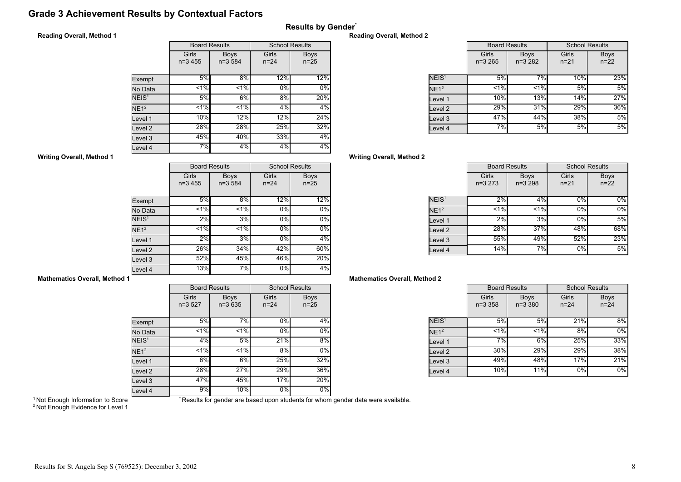# Grade 3 Achievement Results by Contextual Factors

## Reading Overall, Method 1

|  | <b>Results by Gender</b> |  |
|--|--------------------------|--|
|  |                          |  |

|                   | <b>Board Results</b> |                           | <b>School Results</b> |                         |  |
|-------------------|----------------------|---------------------------|-----------------------|-------------------------|--|
|                   | Girls<br>$n=3,455$   | <b>Boys</b><br>$n = 3584$ | Girls<br>$n = 24$     | <b>Boys</b><br>$n = 25$ |  |
| Exempt            | 5%                   | 8%                        | 12%                   | 12%                     |  |
| No Data           | 1%                   | 1%                        | 0%                    | 0%                      |  |
| NEIS <sup>1</sup> | 5%                   | 6%                        | 8%                    | 20%                     |  |
| NE1 <sup>2</sup>  | 1%                   | 1%                        | 4%                    | 4%                      |  |
| Level 1           | 10%                  | 12%                       | 12%                   | 24%                     |  |
| Level 2           | 28%                  | 28%                       | 25%                   | 32%                     |  |
| Level 3           | 45%                  | 40%                       | 33%                   | 4%                      |  |
| Level 4           | 7%                   | 4%                        | 4%                    | 4%                      |  |

#### Reading Overall, Method 2

|                   | <b>Board Results</b> |                         | <b>School Results</b> |                         |
|-------------------|----------------------|-------------------------|-----------------------|-------------------------|
|                   | Girls<br>$n=3,265$   | <b>Boys</b><br>$n=3282$ | Girls<br>$n = 21$     | <b>Boys</b><br>$n = 22$ |
| NEIS <sup>1</sup> | 5%                   | 7%                      | 10%                   | 23%                     |
| NE1 <sup>2</sup>  | 1%                   | 1%                      | 5%                    | 5%                      |
| Level 1           | 10%                  | 13%                     | 14%                   | 27%                     |
| evel 2.           | 29%                  | 31%                     | 29%                   | 36%                     |
| Level 3           | 47%                  | 44%                     | 38%                   | 5%                      |
| Level 4           | 7%                   | 5%                      | 5%                    | 5%                      |

## Writing Overall, Method 2

|                   | <b>Board Results</b> |                           | <b>School Results</b> |                         |
|-------------------|----------------------|---------------------------|-----------------------|-------------------------|
|                   | Girls<br>$n=3273$    | <b>Boys</b><br>$n = 3298$ | Girls<br>$n = 21$     | <b>Boys</b><br>$n = 22$ |
| NEIS <sup>1</sup> | 2%                   | 4%                        | $0\%$                 | $0\%$                   |
| NE1 <sup>2</sup>  | 1%                   | 1%                        | 0%                    | $0\%$                   |
| Level 1           | 2%                   | 3%                        | 0%                    | 5%                      |
| Level 2           | 28%                  | 37%                       | 48%                   | 68%                     |
| Level 3           | 55%                  | 49%                       | 52%                   | 23%                     |
| Level 4           | 14%                  | 7%                        | 0%                    | 5%                      |

## Mathematics Overall, Method 2

|                   | <b>Board Results</b> |                            | <b>School Results</b> |                         |
|-------------------|----------------------|----------------------------|-----------------------|-------------------------|
|                   | Girls<br>$n = 3,358$ | <b>Boys</b><br>$n = 3,380$ | Girls<br>$n = 24$     | <b>Boys</b><br>$n = 24$ |
| NEIS <sup>1</sup> | 5%                   | 5%                         | 21%                   | 8%                      |
| NE1 <sup>2</sup>  | $< 1\%$              | < 1%                       | 8%                    | 0%                      |
| Level 1           | 7%                   | 6%                         | 25%                   | 33%                     |
| Level 2           | 30%                  | 29%                        | 29%                   | 38%                     |
| Level 3           | 49%                  | 48%                        | 17%                   | 21%                     |
| Level 4           | 10%                  | 11%                        | 0%                    | $0\%$                   |

## Writing Overall, Method 1

|                    | <b>Board Results</b> |                           | <b>School Results</b> |                       |
|--------------------|----------------------|---------------------------|-----------------------|-----------------------|
|                    | Girls<br>$n=3,455$   | <b>Boys</b><br>$n = 3584$ | Girls<br>$n = 24$     | <b>Boys</b><br>$n=25$ |
| Exempt             | 5%                   | 8%                        | 12%                   | 12%                   |
| No Data            | $< 1\%$              | < 1%                      | 0%                    | $0\%$                 |
| NEIS <sup>1</sup>  | 2%                   | 3%                        | 0%                    | $0\%$                 |
| NE1 <sup>2</sup>   | $1\%$                | $< 1\%$                   | 0%                    | $0\%$                 |
| Level 1            | 2%                   | 3%                        | 0%                    | 4%                    |
| Level <sub>2</sub> | 26%                  | 34%                       | 42%                   | 60%                   |
| Level 3            | 52%                  | 45%                       | 46%                   | 20%                   |
| Level 4            | 13%                  | 7%                        | 0%                    | 4%                    |

## Mathematics Overall, Method 1

|                    |                   | <b>Board Results</b>    | <b>School Results</b> |                         |
|--------------------|-------------------|-------------------------|-----------------------|-------------------------|
|                    | Girls<br>$n=3527$ | <b>Boys</b><br>$n=3635$ | Girls<br>$n = 24$     | <b>Boys</b><br>$n = 25$ |
| Exempt             | 5%                | 7%                      | 0%                    | 4%                      |
| No Data            | $< 1\%$           | < 1%                    | 0%                    | 0%                      |
| NEIS <sup>1</sup>  | 4%                | 5%                      | 21%                   | 8%                      |
| NE1 <sup>2</sup>   | < 1%              | $< 1\%$                 | 8%                    | 0%                      |
| Level 1            | $6\%$             | $6\%$                   | 25%                   | 32%                     |
| Level <sub>2</sub> | 28%               | 27%                     | 29%                   | 36%                     |
| Level 3            | 47%               | 45%                     | 17%                   | 20%                     |
| Level 4            | 9%                | 10%                     | 0%                    | 0%                      |

<sup>1</sup> Not Enough Information to Score

\* Results for gender are based upon students for whom gender data were available.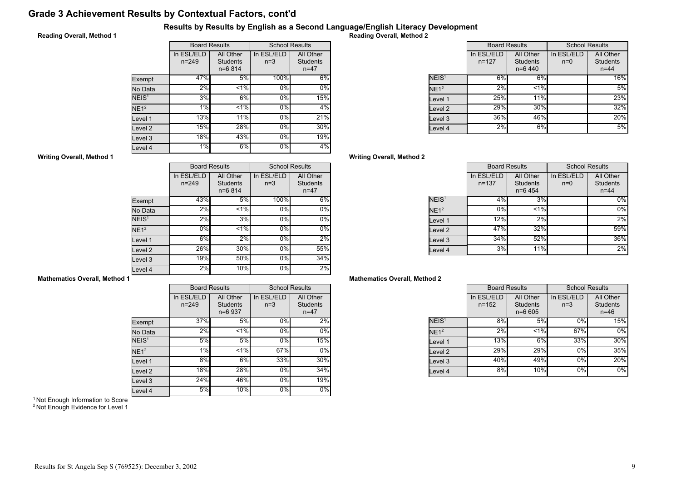# Grade 3 Achievement Results by Contextual Factors, cont'd

## Results by Results by English as a Second Language/English Literacy Development

## Reading Overall, Method 1

|                   | <b>Board Results</b>    |                                            | <b>School Results</b> |                                          |
|-------------------|-------------------------|--------------------------------------------|-----------------------|------------------------------------------|
|                   | In ESL/ELD<br>$n = 249$ | All Other<br><b>Students</b><br>$n = 6814$ | In ESL/ELD<br>$n=3$   | All Other<br><b>Students</b><br>$n = 47$ |
| Exempt            | 47%                     | 5%                                         | 100%                  | 6%                                       |
| No Data           | 2%                      | $1\%$                                      | 0%                    | $0\%$                                    |
| NEIS <sup>1</sup> | 3%                      | 6%                                         | 0%                    | 15%                                      |
| NE1 <sup>2</sup>  | 1%                      | $ 1\% $                                    | 0%                    | 4%                                       |
| Level 1           | $\overline{1}3%$        | 11%                                        | $0\%$                 | 21%                                      |
| Level 2           | 15%                     | 28%                                        | $0\%$                 | 30%                                      |
| Level 3           | 18%                     | 43%                                        | 0%                    | 19%                                      |
| Level 4           | 1%                      | 6%                                         | 0%                    | 4%                                       |

Reading Overall, Method 2

|                   | <b>Board Results</b>    |                                           |                     | <b>School Results</b>                    |
|-------------------|-------------------------|-------------------------------------------|---------------------|------------------------------------------|
|                   | In ESL/ELD<br>$n = 127$ | All Other<br><b>Students</b><br>$n=6$ 440 | In ESL/ELD<br>$n=0$ | All Other<br><b>Students</b><br>$n = 44$ |
| NEIS <sup>1</sup> | 6%                      | 6%                                        |                     | 16%                                      |
| NE1 <sup>2</sup>  | 2%                      | $< 1\%$                                   |                     | 5%                                       |
| Level 1           | 25%                     | 11%                                       |                     | 23%                                      |
| evel 2.           | 29%                     | 30%                                       |                     | 32%                                      |
| evel 3            | 36%                     | 46%                                       |                     | 20%                                      |
| Level 4           | 2%                      | 6%                                        |                     | 5%                                       |

## Writing Overall, Method 2

|                   | <b>Board Results</b>    |                                           | <b>School Results</b> |                                          |
|-------------------|-------------------------|-------------------------------------------|-----------------------|------------------------------------------|
|                   | In ESL/ELD<br>$n = 137$ | All Other<br><b>Students</b><br>$n=6$ 454 | In ESL/ELD<br>$n=0$   | All Other<br><b>Students</b><br>$n = 44$ |
| NEIS <sup>1</sup> | 4%                      | 3%                                        |                       | $0\%$                                    |
| NE1 <sup>2</sup>  | 0%                      | $< 1\%$                                   |                       | $0\%$                                    |
| Level 1           | 12%                     | 2%                                        |                       | 2%                                       |
| Level 2           | 47%                     | 32%                                       |                       | 59%                                      |
| Level 3           | 34%                     | 52%                                       |                       | 36%                                      |
| Level 4           | 3%                      | 11%                                       |                       | 2%                                       |

## Mathematics Overall, Method 2

|                   | <b>Board Results</b>    |                                            | <b>School Results</b> |                                        |
|-------------------|-------------------------|--------------------------------------------|-----------------------|----------------------------------------|
|                   | In ESL/ELD<br>$n = 152$ | All Other<br><b>Students</b><br>$n = 6605$ | In ESL/ELD<br>$n=3$   | All Other<br><b>Students</b><br>$n=46$ |
| NEIS <sup>1</sup> | 8%                      | 5%                                         | 0%                    | 15%                                    |
| NE1 <sup>2</sup>  | 2%                      | < 1%                                       | 67%                   | 0%                                     |
| Level 1           | 13%                     | 6%                                         | 33%                   | 30%                                    |
| Level 2           | 29%l                    | 29%                                        | 0%                    | 35%                                    |
| Level 3           | 40%                     | 49%                                        | 0%                    | 20%                                    |
| Level 4           | 8%                      | 10%                                        | 0%                    | 0%                                     |

#### Writing Overall, Method 1

|                   |                         | <b>Board Results</b>                     | <b>School Results</b> |                                          |
|-------------------|-------------------------|------------------------------------------|-----------------------|------------------------------------------|
|                   | In ESL/ELD<br>$n = 249$ | All Other<br><b>Students</b><br>$n=6814$ | In ESL/ELD<br>$n=3$   | All Other<br><b>Students</b><br>$n = 47$ |
| Exempt            | 43%                     | 5%                                       | 100%                  | 6%                                       |
| No Data           | 2%                      | $< 1\%$                                  | 0%                    | $\overline{0}$ %                         |
| NEIS <sup>1</sup> | 2%                      | 3%                                       | 0%                    | 0%                                       |
| NE1 <sup>2</sup>  | $0\%$                   | $1\%$                                    | 0%                    | $0\%$                                    |
| Level 1           | 6%                      | 2%                                       | 0%                    | 2%                                       |
| Level 2           | 26%                     | 30%                                      | 0%                    | 55%                                      |
| Level 3           | 19%                     | 50%                                      | 0%                    | 34%                                      |
| Level 4           | 2%                      | 10%                                      | 0%                    | 2%                                       |

## Mathematics Overall, Method 1

|                    |                         | <b>Board Results</b>                    | <b>School Results</b> |                                          |
|--------------------|-------------------------|-----------------------------------------|-----------------------|------------------------------------------|
|                    | In ESL/ELD<br>$n = 249$ | All Other<br><b>Students</b><br>n=6 937 | In ESL/ELD<br>$n=3$   | All Other<br><b>Students</b><br>$n = 47$ |
| Exempt             | 37%                     | 5%                                      | 0%                    | 2%                                       |
| No Data            | 2%                      | 1%                                      | 0%                    | 0%                                       |
| NEIS <sup>1</sup>  | 5%                      | 5%                                      | $0\%$                 | 15%                                      |
| NE1 <sup>2</sup>   | 1%                      | 1%                                      | 67%                   | 0%                                       |
| Level 1            | 8%                      | 6%                                      | 33%                   | 30%                                      |
| Level <sub>2</sub> | 18%                     | 28%                                     | 0%                    | 34%                                      |
| Level 3            | 24%                     | 46%                                     | 0%                    | 19%                                      |
| Level 4            | 5%                      | 10%                                     | 0%                    | $0\%$                                    |

<sup>1</sup> Not Enough Information to Score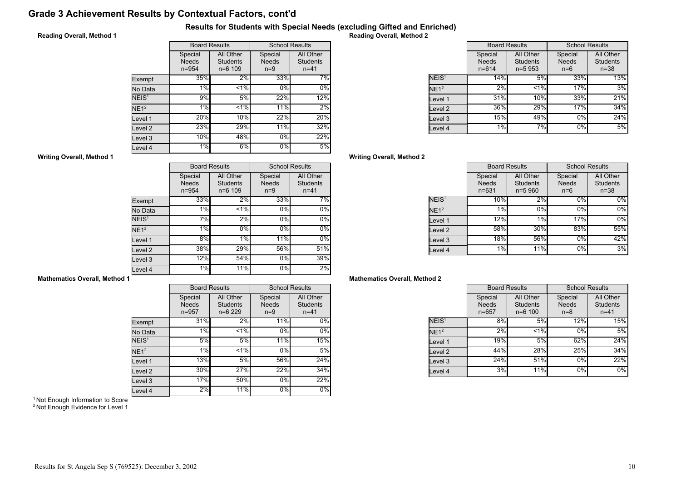# Grade 3 Achievement Results by Contextual Factors, cont'd

## Results for Students with Special Needs (excluding Gifted and Enriched)

## Reading Overall, Method 1

|                   | <b>Board Results</b>                 |                                             | <b>School Results</b>            |                                          |
|-------------------|--------------------------------------|---------------------------------------------|----------------------------------|------------------------------------------|
|                   | Special<br><b>Needs</b><br>$n = 954$ | All Other<br><b>Students</b><br>$n = 6$ 109 | Special<br><b>Needs</b><br>$n=9$ | All Other<br><b>Students</b><br>$n = 41$ |
| Exempt            | 35%                                  | 2%                                          | 33%                              | 7%                                       |
| No Data           | 1%                                   | $< 1\%$                                     | 0%                               | $0\%$                                    |
| NEIS <sup>1</sup> | 9%                                   | 5%                                          | 22%                              | 12%                                      |
| NE1 <sup>2</sup>  | 1%                                   | < 1%                                        | 11%                              | 2%                                       |
| Level 1           | 20%                                  | 10%                                         | 22%                              | 20%                                      |
| Level 2           | 23%                                  | 29%                                         | 11%                              | 32%                                      |
| Level 3           | 10%                                  | 48%                                         | 0%                               | 22%                                      |
| evel 4            | 1%                                   | 6%                                          | 0%                               | 5%                                       |

Reading Overall, Method 2

|                   | <b>Board Results</b>                 |                                            | <b>School Results</b>            |                                          |
|-------------------|--------------------------------------|--------------------------------------------|----------------------------------|------------------------------------------|
|                   | Special<br><b>Needs</b><br>$n = 614$ | All Other<br><b>Students</b><br>$n = 5953$ | Special<br><b>Needs</b><br>$n=6$ | All Other<br><b>Students</b><br>$n = 38$ |
| NEIS <sup>1</sup> | 14%                                  | 5%                                         | 33%                              | 13%                                      |
| NE1 <sup>2</sup>  | 2%                                   | $< 1\%$                                    | 17%                              | 3%                                       |
| Level 1           | 31%                                  | 10%                                        | 33%                              | 21%                                      |
| Level 2           | 36%                                  | 29%                                        | 17%                              | 34%                                      |
| Level 3           | 15%                                  | 49%                                        | 0%                               | 24%                                      |
| Level 4           | 1%                                   | 7%                                         | 0%                               | 5%                                       |

## Writing Overall, Method 2

|                   | <b>Board Results</b>                 |                                            | <b>School Results</b>            |                                          |
|-------------------|--------------------------------------|--------------------------------------------|----------------------------------|------------------------------------------|
|                   | Special<br><b>Needs</b><br>$n = 631$ | All Other<br><b>Students</b><br>$n = 5960$ | Special<br><b>Needs</b><br>$n=6$ | All Other<br><b>Students</b><br>$n = 38$ |
| NEIS <sup>1</sup> | 10%                                  | 2%                                         | 0%                               | $0\%$                                    |
| NE1 <sup>2</sup>  | 1%                                   | 0%                                         | 0%                               | $0\%$                                    |
| Level 1           | 12%                                  | 1%                                         | 17%                              | $0\%$                                    |
| Level 2           | 58%                                  | 30%                                        | 83%                              | 55%                                      |
| Level 3           | 18%                                  | 56%                                        | 0%                               | 42%                                      |
| Level 4           | 1%                                   | 11%                                        | $0\%$                            | 3%                                       |

## Mathematics Overall, Method 2

|                   | <b>Board Results</b>             |                                             | <b>School Results</b>            |                                          |
|-------------------|----------------------------------|---------------------------------------------|----------------------------------|------------------------------------------|
|                   | Special<br><b>Needs</b><br>n=657 | All Other<br><b>Students</b><br>$n = 6 100$ | Special<br><b>Needs</b><br>$n=8$ | All Other<br><b>Students</b><br>$n = 41$ |
| NEIS <sup>1</sup> | 8%                               | 5%                                          | 12%                              | 15%                                      |
| NE1 <sup>2</sup>  | 2%                               | $< 1\%$                                     | 0%                               | 5%                                       |
| Level 1           | 19%                              | 5%                                          | 62%                              | 24%                                      |
| Level 2           | 44%                              | 28%                                         | 25%                              | 34%                                      |
| Level 3           | 24%                              | 51%                                         | 0%                               | 22%                                      |
| Level 4           | 3%                               | 11%                                         | 0%                               | 0%                                       |

#### Writing Overall, Method 1

|                   |                                      | <b>Board Results</b>                        | <b>School Results</b>            |                                          |
|-------------------|--------------------------------------|---------------------------------------------|----------------------------------|------------------------------------------|
|                   | Special<br><b>Needs</b><br>$n = 954$ | All Other<br><b>Students</b><br>$n = 6$ 109 | Special<br><b>Needs</b><br>$n=9$ | All Other<br><b>Students</b><br>$n = 41$ |
| Exempt            | 33%                                  | 2%                                          | 33%                              | 7%                                       |
| No Data           | 1%                                   | < 1%                                        | 0%                               | 0%                                       |
| NEIS <sup>1</sup> | 7%                                   | 2%                                          | 0%                               | $0\%$                                    |
| NE1 <sup>2</sup>  | 1%                                   | 0%                                          | 0%                               | 0%                                       |
| Level 1           | 8%                                   | 1%                                          | 11%                              | 0%                                       |
| Level 2           | 38%                                  | 29%                                         | 56%                              | 51%                                      |
| Level 3           | 12%                                  | 54%                                         | 0%                               | 39%                                      |
| Level 4           | $1\%$                                | 11%                                         | 0%                               | $2\%$                                    |

## Mathematics Overall, Method 1

|                    |                                      | <b>Board Results</b>                     |                                  | <b>School Results</b>                    |
|--------------------|--------------------------------------|------------------------------------------|----------------------------------|------------------------------------------|
|                    | Special<br><b>Needs</b><br>$n = 957$ | All Other<br><b>Students</b><br>$n=6229$ | Special<br><b>Needs</b><br>$n=9$ | All Other<br><b>Students</b><br>$n = 41$ |
| Exempt             | 31%                                  | 2%                                       | 11%                              | $0\%$                                    |
| No Data            | 1%                                   | 1%                                       | 0%                               | 0%                                       |
| NEIS <sup>1</sup>  | 5%                                   | 5%                                       | 11%                              | 15%                                      |
| NE1 <sup>2</sup>   | 1%                                   | 1%                                       | 0%                               | 5%                                       |
| Level 1            | 13%                                  | 5%                                       | 56%                              | 24%                                      |
| Level <sub>2</sub> | 30%                                  | 27%                                      | 22%                              | 34%                                      |
| Level 3            | 17%                                  | 50%                                      | 0%                               | 22%                                      |
| Level 4            | 2%                                   | 11%                                      | 0%                               | 0%                                       |

<sup>1</sup> Not Enough Information to Score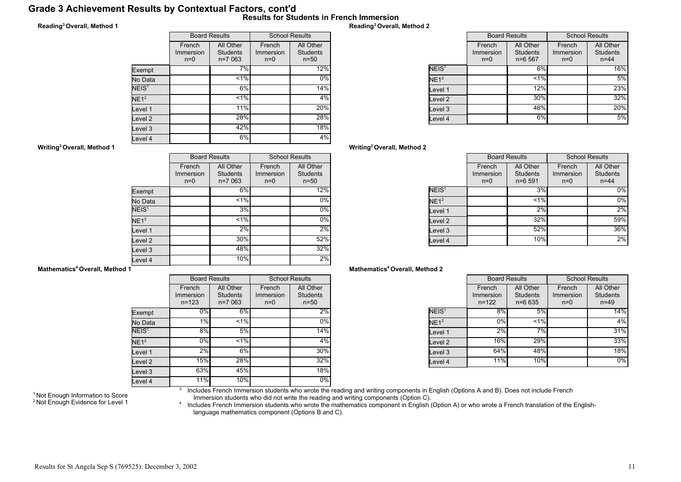## Grade 3 Achievement Results by Contextual Factors, cont'd Results for Students in French Immersion

## Reading<sup>3</sup>Overall, Method 1

|                   | <b>Board Results</b>         |                                          | <b>School Results</b>        |                                          |
|-------------------|------------------------------|------------------------------------------|------------------------------|------------------------------------------|
|                   | French<br>Immersion<br>$n=0$ | All Other<br><b>Students</b><br>$n=7063$ | French<br>Immersion<br>$n=0$ | All Other<br><b>Students</b><br>$n = 50$ |
| Exempt            |                              | 7%                                       |                              | 12%                                      |
| No Data           |                              | $< 1\%$                                  |                              | 0%                                       |
| NEIS <sup>1</sup> |                              | 6%                                       |                              | 14%                                      |
| NE1 <sup>2</sup>  |                              | 1%                                       |                              | 4%                                       |
| Level 1           |                              | 11%                                      |                              | 20%                                      |
| Level 2           |                              | 28%                                      |                              | 28%                                      |
| Level 3           |                              | 42%                                      |                              | 18%                                      |
| Level 4           |                              | 6%                                       |                              | 4%                                       |

## Reading<sup>3</sup>Overall, Method 2

|                   | <b>Board Results</b>         |                                          | <b>School Results</b>        |                                          |
|-------------------|------------------------------|------------------------------------------|------------------------------|------------------------------------------|
|                   | French<br>Immersion<br>$n=0$ | All Other<br><b>Students</b><br>$n=6567$ | French<br>Immersion<br>$n=0$ | All Other<br><b>Students</b><br>$n = 44$ |
| NEIS <sup>1</sup> |                              | 6%                                       |                              | 16%                                      |
| NE1 <sup>2</sup>  |                              | $< 1\%$                                  |                              | 5%                                       |
| Level 1           |                              | 12%                                      |                              | 23%                                      |
| Level 2           |                              | 30%                                      |                              | 32%                                      |
| Level 3           |                              | 46%                                      |                              | 20%                                      |
| Level 4           |                              | 6%                                       |                              | 5%                                       |

## Writing<sup>3</sup>Overall, Method 2

|                   | <b>Board Results</b>         |                                            | <b>School Results</b>        |                                          |
|-------------------|------------------------------|--------------------------------------------|------------------------------|------------------------------------------|
|                   | French<br>Immersion<br>$n=0$ | All Other<br><b>Students</b><br>$n = 6591$ | French<br>Immersion<br>$n=0$ | All Other<br><b>Students</b><br>$n = 44$ |
| NEIS <sup>1</sup> |                              | 3%                                         |                              | $0\%$                                    |
| NE1 <sup>2</sup>  |                              | $< 1\%$                                    |                              | 0%                                       |
| Level 1           |                              | 2%                                         |                              | 2%                                       |
| Level 2           |                              | 32%                                        |                              | 59%                                      |
| Level 3           |                              | 52%                                        |                              | 36%                                      |
| Level 4           |                              | 10%                                        |                              | 2%                                       |

#### Mathematics<sup>4</sup> Overall, Method 2

|                   | <b>Board Results</b>             |                                            | <b>School Results</b>        |                                          |
|-------------------|----------------------------------|--------------------------------------------|------------------------------|------------------------------------------|
|                   | French<br>Immersion<br>$n = 122$ | All Other<br><b>Students</b><br>$n = 6635$ | French<br>Immersion<br>$n=0$ | All Other<br><b>Students</b><br>$n = 49$ |
| NEIS <sup>1</sup> | 8%                               | 5%                                         |                              | 14%                                      |
| NE1 <sup>2</sup>  | 0%                               | $< 1\%$                                    |                              | 4%                                       |
| Level 1           | 2%                               | 7%                                         |                              | 31%                                      |
| Level 2           | <b>16%</b>                       | 29%                                        |                              | 33%                                      |
| Level 3           | 64%                              | 48%                                        |                              | 18%                                      |
| Level 4           | 11%                              | 10%                                        |                              | 0%                                       |

Writing<sup>3</sup>Overall, Method 1

|                    |                              | <b>Board Results</b>                     | <b>School Results</b>        |                                          |
|--------------------|------------------------------|------------------------------------------|------------------------------|------------------------------------------|
|                    | French<br>Immersion<br>$n=0$ | All Other<br><b>Students</b><br>$n=7063$ | French<br>Immersion<br>$n=0$ | All Other<br><b>Students</b><br>$n = 50$ |
| Exempt             |                              | 6%                                       |                              | 12%                                      |
| No Data            |                              | 1%                                       |                              | $0\%$                                    |
| NEIS <sup>1</sup>  |                              | 3%                                       |                              | $0\%$                                    |
| NE1 <sup>2</sup>   |                              | 1%                                       |                              | $0\%$                                    |
| Level 1            |                              | 2%                                       |                              | 2%                                       |
| Level <sub>2</sub> |                              | 30%                                      |                              | 52%                                      |
| Level <sub>3</sub> |                              | 48%                                      |                              | 32%                                      |
| Level 4            |                              | 10%                                      |                              | 2%                                       |

#### Mathematics<sup>4</sup> Overall, Method 1

|                    | <b>Board Results</b>             |                                          | <b>School Results</b>        |                                          |
|--------------------|----------------------------------|------------------------------------------|------------------------------|------------------------------------------|
|                    | French<br>Immersion<br>$n = 123$ | All Other<br><b>Students</b><br>$n=7063$ | French<br>Immersion<br>$n=0$ | All Other<br><b>Students</b><br>$n = 50$ |
| Exempt             | 0%                               | 6%                                       |                              | 2%                                       |
| No Data            | 1%                               | $< 1\%$                                  |                              | 0%                                       |
| NEIS <sup>1</sup>  | 8%                               | 5%                                       |                              | 14%                                      |
| NE1 <sup>2</sup>   | $0\%$                            | $1\%$                                    |                              | 4%                                       |
| Level 1            | 2%                               | $6\%$                                    |                              | 30%                                      |
| Level <sub>2</sub> | 15%                              | 28%                                      |                              | 32%                                      |
| Level 3            | 63%                              | 45%                                      |                              | 18%                                      |
| Level 4            | 11%                              | 10%                                      |                              | $0\%$                                    |

<sup>1</sup> Not Enough Information to Score <sup>2</sup> Not Enough Evidence for Level 1 3 Includes French Immersion students who wrote the reading and writing components in English (Options A and B). Does not include French

Immersion students who did not write the reading and writing components (Option C).<br>^ Includes French Immersion students who wrote the mathematics component in English (Option A) or who wrote a French translation of the En language mathematics component (Options B and C).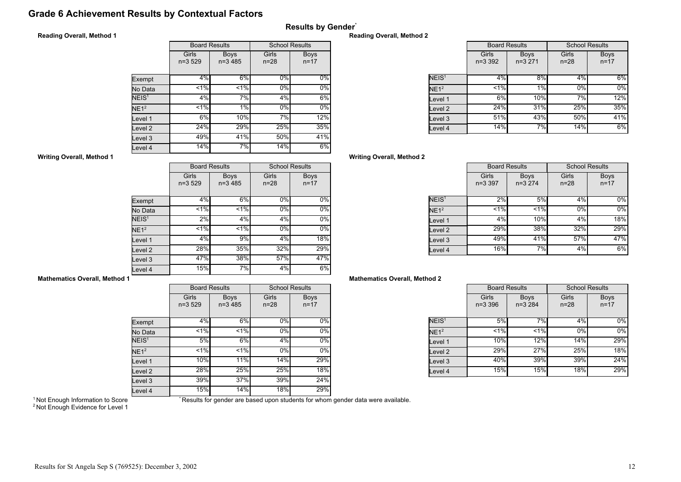# Grade 6 Achievement Results by Contextual Factors

# Results by Gender\*

## Reading Overall, Method 1

|                   | <b>Board Results</b> |                          | <b>School Results</b> |                         |
|-------------------|----------------------|--------------------------|-----------------------|-------------------------|
|                   | Girls<br>$n=3,529$   | <b>Boys</b><br>$n=3,485$ | Girls<br>$n = 28$     | <b>Boys</b><br>$n = 17$ |
| Exempt            | 4%                   | 6%                       | $0\%$                 | $0\%$                   |
| No Data           | 1%                   | $1\%$                    | 0%                    | $0\%$                   |
| NEIS <sup>1</sup> | 4%                   | 7%                       | 4%                    | 6%                      |
| NE1 <sup>2</sup>  | $1\%$                | 1%                       | 0%                    | $0\%$                   |
| Level 1           | 6%                   | 10%                      | 7%                    | 12%                     |
| Level 2           | 24%                  | 29%                      | 25%                   | 35%                     |
| Level 3           | 49%                  | 41%                      | 50%                   | 41%                     |
| Level 4           | 14%                  | 7%                       | 14%                   | 6%                      |

#### Reading Overall, Method 2

|                   |                      | <b>Board Results</b>    |                   | <b>School Results</b>   |
|-------------------|----------------------|-------------------------|-------------------|-------------------------|
|                   | Girls<br>$n = 3,392$ | <b>Boys</b><br>$n=3271$ | Girls<br>$n = 28$ | <b>Boys</b><br>$n = 17$ |
| NEIS <sup>1</sup> | 4%                   | 8%                      | 4%                | 6%                      |
| NE1 <sup>2</sup>  | 1%                   | 1%                      | 0%                | 0%                      |
| Level 1           | 6%                   | 10%                     | 7%                | 12%                     |
| evel 2.           | 24%                  | 31%                     | 25%               | 35%                     |
| evel 3.           | 51%                  | 43%                     | 50%               | 41%                     |
| Level 4           | 14%                  | 7%                      | 14%               | 6%                      |

## Writing Overall, Method 2

|                   | <b>Board Results</b> |                         | <b>School Results</b> |                         |
|-------------------|----------------------|-------------------------|-----------------------|-------------------------|
|                   | Girls<br>$n=3.397$   | <b>Boys</b><br>$n=3274$ | Girls<br>$n = 28$     | <b>Boys</b><br>$n = 17$ |
| NEIS <sup>1</sup> | 2%                   | 5%                      | 4%                    | $0\%$                   |
| NE1 <sup>2</sup>  | 1%                   | 1%                      | 0%                    | $0\%$                   |
| Level 1           | 4%                   | 10%                     | 4%                    | 18%                     |
| Level 2           | 29%                  | 38%                     | 32%                   | 29%                     |
| Level 3           | 49%                  | 41%                     | 57%                   | 47%                     |
| Level 4           | 16%                  | 7%                      | 4%                    | 6%                      |

## Mathematics Overall, Method 2

|                   | <b>Board Results</b> |                         | <b>School Results</b> |                         |
|-------------------|----------------------|-------------------------|-----------------------|-------------------------|
|                   | Girls<br>$n = 3,396$ | <b>Boys</b><br>$n=3284$ | Girls<br>$n = 28$     | <b>Boys</b><br>$n = 17$ |
| NEIS <sup>1</sup> | 5%                   | 7%                      | 4%                    | $0\%$                   |
| NE1 <sup>2</sup>  | 1%                   | $< 1\%$                 | 0%                    | 0%                      |
| Level 1           | <b>10%</b>           | 12%                     | 14%                   | 29%                     |
| Level 2           | 29%                  | 27%                     | 25%l                  | 18%                     |
| Level 3           | 40%l                 | 39%                     | 39%                   | 24%                     |
| Level 4           | 15%                  | 15%                     | 18%                   | 29%                     |

## Writing Overall, Method 1

|                   | <b>Board Results</b> |                          | <b>School Results</b> |                         |
|-------------------|----------------------|--------------------------|-----------------------|-------------------------|
|                   | Girls<br>$n=3529$    | <b>Boys</b><br>$n=3,485$ | Girls<br>$n = 28$     | <b>Boys</b><br>$n = 17$ |
| Exempt            | 4%                   | 6%                       | $0\%$                 | $0\%$                   |
| No Data           | $< 1\%$              | 1%                       | 0%                    | $0\%$                   |
| NEIS <sup>1</sup> | 2%                   | 4%                       | 4%                    | $0\%$                   |
| NE1 <sup>2</sup>  | 1%                   | 1%                       | 0%                    | $0\%$                   |
| Level 1           | 4%                   | 9%                       | 4%                    | 18%                     |
| Level 2           | 28%                  | 35%                      | 32%                   | 29%                     |
| Level 3           | 47%                  | 38%                      | 57%                   | 47%                     |
| Level 4           | 15%                  | 7%                       | 4%                    | 6%                      |

## Mathematics Overall, Method 1

|                    | <b>Board Results</b> |                          | <b>School Results</b> |                         |  |
|--------------------|----------------------|--------------------------|-----------------------|-------------------------|--|
|                    | Girls<br>$n=3529$    | <b>Boys</b><br>$n=3,485$ | Girls<br>$n = 28$     | <b>Boys</b><br>$n = 17$ |  |
| Exempt             | 4%                   | 6%                       | 0%                    | $0\%$                   |  |
| No Data            | < 1%                 | $< 1\%$                  | 0%                    | 0%                      |  |
| NEIS <sup>1</sup>  | 5%                   | 6%                       | 4%                    | $0\%$                   |  |
| NE1 <sup>2</sup>   | 1%                   | $1\%$                    | 0%                    | $0\%$                   |  |
| Level 1            | 10%                  | 11%                      | 14%                   | 29%                     |  |
| Level 2            | 28%                  | 25%                      | 25%                   | 18%                     |  |
| Level <sub>3</sub> | 39%                  | 37%                      | 39%                   | 24%                     |  |
| Level 4            | 15%                  | 14%                      | 18%                   | 29%                     |  |

<sup>1</sup> Not Enough Information to Score <sup>2</sup> Not Enough Evidence for Level 1 \* Results for gender are based upon students for whom gender data were available.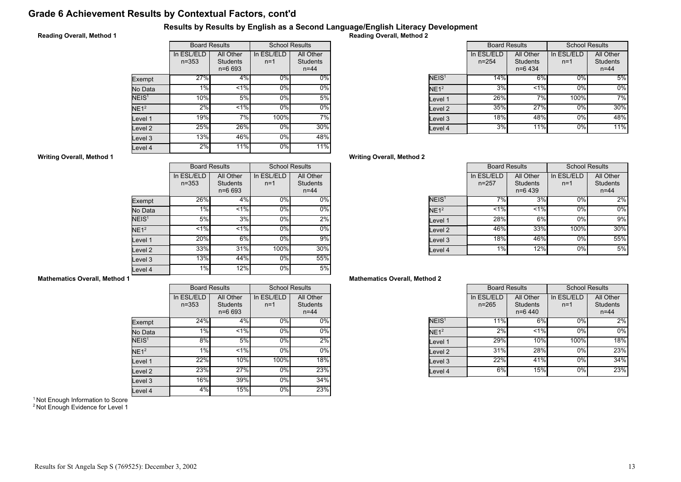# Grade 6 Achievement Results by Contextual Factors, cont'd

## Results by Results by English as a Second Language/English Literacy Development

## Reading Overall, Method 1

|                   | <b>Board Results</b>    |                                            | <b>School Results</b> |                                          |
|-------------------|-------------------------|--------------------------------------------|-----------------------|------------------------------------------|
|                   | In ESL/ELD<br>$n = 353$ | All Other<br><b>Students</b><br>$n = 6693$ | In ESL/ELD<br>$n=1$   | All Other<br><b>Students</b><br>$n = 44$ |
| Exempt            | 27%                     | 4%                                         | $0\%$                 | $0\%$                                    |
| No Data           | 1%                      | $< 1\%$                                    | 0%                    | 0%                                       |
| NEIS <sup>1</sup> | 10%                     | 5%                                         | 0%                    | 5%                                       |
| NE1 <sup>2</sup>  | 2%                      | $1\%$                                      | 0%                    | $0\%$                                    |
| Level 1           | 19%                     | 7%                                         | 100%                  | 7%                                       |
| evel 2            | 25%                     | 26%                                        | $0\%$                 | 30%                                      |
| Level 3           | 13%                     | 46%                                        | 0%                    | 48%                                      |
| Level 4           | 2%                      | 11%                                        | 0%                    | 11%                                      |

Reading Overall, Method 2

|                   | <b>Board Results</b>    |                                           | <b>School Results</b> |                                          |
|-------------------|-------------------------|-------------------------------------------|-----------------------|------------------------------------------|
|                   | In ESL/ELD<br>$n = 254$ | All Other<br><b>Students</b><br>$n=6$ 434 | In ESL/ELD<br>$n=1$   | All Other<br><b>Students</b><br>$n = 44$ |
| NEIS <sup>1</sup> | 14%                     | 6%                                        | 0%                    | 5%                                       |
| NE1 <sup>2</sup>  | 3%                      | $< 1\%$                                   | 0%                    | 0%                                       |
| evel 1.           | 26%                     | 7%                                        | 100%                  | 7%                                       |
| evel 2.           | 35%                     | 27%                                       | 0%                    | 30%                                      |
| evel 3.           | 18%                     | 48%                                       | 0%                    | 48%                                      |
| evel 4            | 3%                      | <b>11%</b>                                | 0%                    | 11%                                      |

## Writing Overall, Method 2

|                    | <b>Board Results</b>    |                                           | <b>School Results</b> |                                          |
|--------------------|-------------------------|-------------------------------------------|-----------------------|------------------------------------------|
|                    | In ESL/ELD<br>$n = 257$ | All Other<br><b>Students</b><br>$n=6$ 439 | In ESL/ELD<br>$n=1$   | All Other<br><b>Students</b><br>$n = 44$ |
| NEIS <sup>1</sup>  | 7%                      | 3%                                        | $0\%$                 | 2%                                       |
| NE1 <sup>2</sup>   | 1%                      | < 1%                                      | 0%                    | $0\%$                                    |
| Level 1            | 28%                     | 6%                                        | 0%                    | 9%                                       |
| Level <sub>2</sub> | 46%                     | 33%                                       | 100%                  | 30%                                      |
| Level 3            | 18%                     | 46%                                       | 0%                    | 55%                                      |
| Level 4            | 1%                      | 12%                                       | 0%                    | 5%                                       |

## Mathematics Overall, Method 2

|                   | <b>Board Results</b>    |                                           | <b>School Results</b> |                                          |
|-------------------|-------------------------|-------------------------------------------|-----------------------|------------------------------------------|
|                   | In ESL/ELD<br>$n = 265$ | All Other<br><b>Students</b><br>$n=6$ 440 | In ESL/ELD<br>$n=1$   | All Other<br><b>Students</b><br>$n = 44$ |
| NEIS <sup>1</sup> | 11%                     | 6%                                        | 0%                    | 2%                                       |
| NE1 <sup>2</sup>  | 2%                      | < 1%                                      | 0%                    | 0%                                       |
| Level 1           | 29%                     | 10%                                       | 100%l                 | 18%                                      |
| Level 2           | 31%                     | 28%                                       | 0%                    | 23%                                      |
| Level 3           | 22%                     | 41%                                       | 0%                    | 34%                                      |
| Level 4           | 6%                      | 15%                                       | 0%                    | 23%                                      |

#### Writing Overall, Method 1

|                   |                         | <b>Board Results</b>                       | <b>School Results</b> |                                          |
|-------------------|-------------------------|--------------------------------------------|-----------------------|------------------------------------------|
|                   | In ESL/ELD<br>$n = 353$ | All Other<br><b>Students</b><br>$n = 6693$ | In ESL/ELD<br>$n=1$   | All Other<br><b>Students</b><br>$n = 44$ |
| Exempt            | 26%                     | 4%                                         | 0%                    | 0%                                       |
| No Data           | 1%                      | < 1%                                       | 0%                    | $\overline{0}$ %                         |
| NEIS <sup>1</sup> | 5%                      | 3%                                         | 0%                    | 2%                                       |
| NE1 <sup>2</sup>  | 1%                      | $1\%$                                      | 0%                    | 0%                                       |
| Level 1           | 20%                     | 6%                                         | 0%                    | 9%                                       |
| evel 2            | 33%                     | 31%                                        | 100%                  | 30%                                      |
| Level 3           | 13%                     | 44%                                        | 0%                    | 55%                                      |
| Level 4           | $1\%$                   | 12%                                        | $0\%$                 | 5%                                       |

## Mathematics Overall, Method 1

|                    |                         | <b>Board Results</b>                       |                     | <b>School Results</b>                    |  |
|--------------------|-------------------------|--------------------------------------------|---------------------|------------------------------------------|--|
|                    | In ESL/ELD<br>$n = 353$ | All Other<br><b>Students</b><br>$n = 6693$ | In ESL/ELD<br>$n=1$ | All Other<br><b>Students</b><br>$n = 44$ |  |
| Exempt             | 24%                     | 4%                                         | 0%                  | $0\%$                                    |  |
| No Data            | 1%                      | 1%                                         | 0%                  | 0%                                       |  |
| NEIS <sup>1</sup>  | 8%                      | 5%                                         | $0\%$               | 2%                                       |  |
| NE1 <sup>2</sup>   | 1%                      | 1%                                         | $0\%$               | $0\%$                                    |  |
| Level 1            | 22%                     | 10%                                        | 100%                | 18%                                      |  |
| Level <sub>2</sub> | 23%                     | 27%                                        | 0%                  | 23%                                      |  |
| Level 3            | 16%                     | 39%                                        | 0%                  | 34%                                      |  |
| Level 4            | 4%                      | 15%                                        | 0%                  | 23%                                      |  |

<sup>1</sup> Not Enough Information to Score